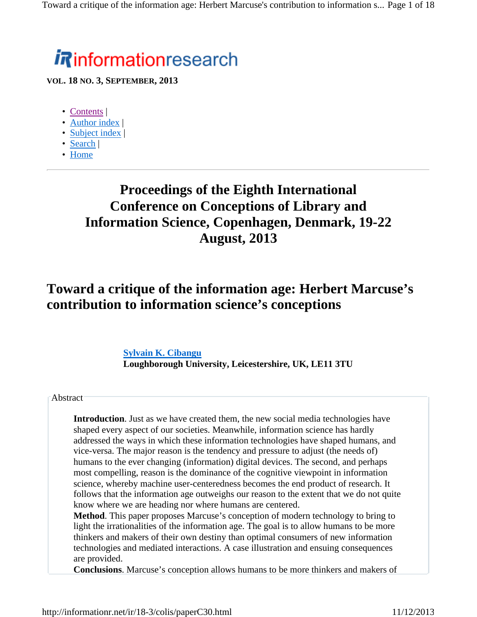# *i R*informationresearch

**VOL. 18 NO. 3, SEPTEMBER, 2013**

- Contents |
- Author index |
- Subject index |
- Search |
- Home

### **Proceedings of the Eighth International Conference on Conceptions of Library and Information Science, Copenhagen, Denmark, 19-22 August, 2013**

#### **Toward a critique of the information age: Herbert Marcuse's contribution to information science's conceptions**

**Sylvain K. Cibangu Loughborough University, Leicestershire, UK, LE11 3TU** 

#### **Abstract**

**Introduction**. Just as we have created them, the new social media technologies have shaped every aspect of our societies. Meanwhile, information science has hardly addressed the ways in which these information technologies have shaped humans, and vice-versa. The major reason is the tendency and pressure to adjust (the needs of) humans to the ever changing (information) digital devices. The second, and perhaps most compelling, reason is the dominance of the cognitive viewpoint in information science, whereby machine user-centeredness becomes the end product of research. It follows that the information age outweighs our reason to the extent that we do not quite know where we are heading nor where humans are centered.

**Method**. This paper proposes Marcuse's conception of modern technology to bring to light the irrationalities of the information age. The goal is to allow humans to be more thinkers and makers of their own destiny than optimal consumers of new information technologies and mediated interactions. A case illustration and ensuing consequences are provided.

**Conclusions**. Marcuse's conception allows humans to be more thinkers and makers of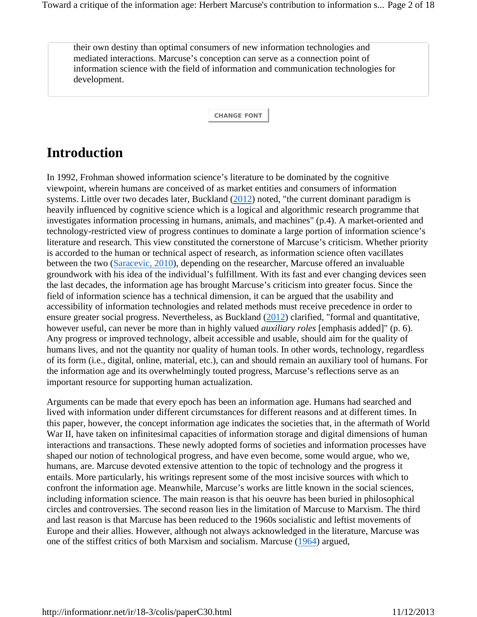their own destiny than optimal consumers of new information technologies and mediated interactions. Marcuse's conception can serve as a connection point of information science with the field of information and communication technologies for development.

**CHANGE FONT**

## **Introduction**

In 1992, Frohman showed information science's literature to be dominated by the cognitive viewpoint, wherein humans are conceived of as market entities and consumers of information systems. Little over two decades later, Buckland (2012) noted, "the current dominant paradigm is heavily influenced by cognitive science which is a logical and algorithmic research programme that investigates information processing in humans, animals, and machines" (p.4). A market-oriented and technology-restricted view of progress continues to dominate a large portion of information science's literature and research. This view constituted the cornerstone of Marcuse's criticism. Whether priority is accorded to the human or technical aspect of research, as information science often vacillates between the two (Saracevic, 2010), depending on the researcher, Marcuse offered an invaluable groundwork with his idea of the individual's fulfillment. With its fast and ever changing devices seen the last decades, the information age has brought Marcuse's criticism into greater focus. Since the field of information science has a technical dimension, it can be argued that the usability and accessibility of information technologies and related methods must receive precedence in order to ensure greater social progress. Nevertheless, as Buckland (2012) clarified, "formal and quantitative, however useful, can never be more than in highly valued *auxiliary roles* [emphasis added]" (p. 6). Any progress or improved technology, albeit accessible and usable, should aim for the quality of humans lives, and not the quantity nor quality of human tools. In other words, technology, regardless of its form (i.e., digital, online, material, etc.), can and should remain an auxiliary tool of humans. For the information age and its overwhelmingly touted progress, Marcuse's reflections serve as an important resource for supporting human actualization.

Arguments can be made that every epoch has been an information age. Humans had searched and lived with information under different circumstances for different reasons and at different times. In this paper, however, the concept information age indicates the societies that, in the aftermath of World War II, have taken on infinitesimal capacities of information storage and digital dimensions of human interactions and transactions. These newly adopted forms of societies and information processes have shaped our notion of technological progress, and have even become, some would argue, who we, humans, are. Marcuse devoted extensive attention to the topic of technology and the progress it entails. More particularly, his writings represent some of the most incisive sources with which to confront the information age. Meanwhile, Marcuse's works are little known in the social sciences, including information science. The main reason is that his oeuvre has been buried in philosophical circles and controversies. The second reason lies in the limitation of Marcuse to Marxism. The third and last reason is that Marcuse has been reduced to the 1960s socialistic and leftist movements of Europe and their allies. However, although not always acknowledged in the literature, Marcuse was one of the stiffest critics of both Marxism and socialism. Marcuse (1964) argued,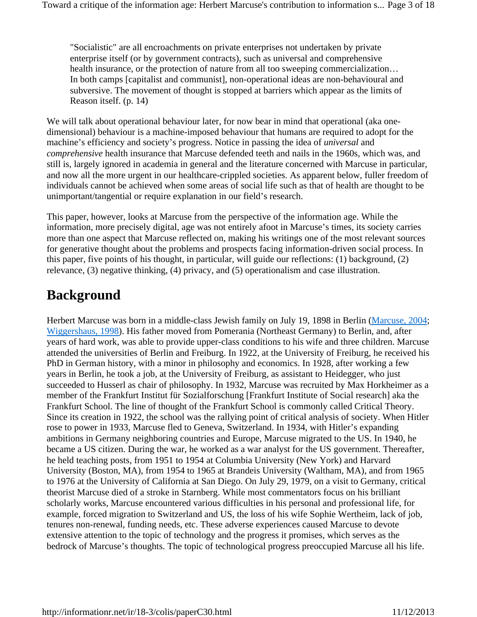"Socialistic" are all encroachments on private enterprises not undertaken by private enterprise itself (or by government contracts), such as universal and comprehensive health insurance, or the protection of nature from all too sweeping commercialization… In both camps [capitalist and communist], non-operational ideas are non-behavioural and subversive. The movement of thought is stopped at barriers which appear as the limits of Reason itself. (p. 14)

We will talk about operational behaviour later, for now bear in mind that operational (aka onedimensional) behaviour is a machine-imposed behaviour that humans are required to adopt for the machine's efficiency and society's progress. Notice in passing the idea of *universal* and *comprehensive* health insurance that Marcuse defended teeth and nails in the 1960s, which was, and still is, largely ignored in academia in general and the literature concerned with Marcuse in particular, and now all the more urgent in our healthcare-crippled societies. As apparent below, fuller freedom of individuals cannot be achieved when some areas of social life such as that of health are thought to be unimportant/tangential or require explanation in our field's research.

This paper, however, looks at Marcuse from the perspective of the information age. While the information, more precisely digital, age was not entirely afoot in Marcuse's times, its society carries more than one aspect that Marcuse reflected on, making his writings one of the most relevant sources for generative thought about the problems and prospects facing information-driven social process. In this paper, five points of his thought, in particular, will guide our reflections: (1) background, (2) relevance, (3) negative thinking, (4) privacy, and (5) operationalism and case illustration.

#### **Background**

Herbert Marcuse was born in a middle-class Jewish family on July 19, 1898 in Berlin (Marcuse, 2004; Wiggershaus, 1998). His father moved from Pomerania (Northeast Germany) to Berlin, and, after years of hard work, was able to provide upper-class conditions to his wife and three children. Marcuse attended the universities of Berlin and Freiburg. In 1922, at the University of Freiburg, he received his PhD in German history, with a minor in philosophy and economics. In 1928, after working a few years in Berlin, he took a job, at the University of Freiburg, as assistant to Heidegger, who just succeeded to Husserl as chair of philosophy. In 1932, Marcuse was recruited by Max Horkheimer as a member of the Frankfurt Institut für Sozialforschung [Frankfurt Institute of Social research] aka the Frankfurt School. The line of thought of the Frankfurt School is commonly called Critical Theory. Since its creation in 1922, the school was the rallying point of critical analysis of society. When Hitler rose to power in 1933, Marcuse fled to Geneva, Switzerland. In 1934, with Hitler's expanding ambitions in Germany neighboring countries and Europe, Marcuse migrated to the US. In 1940, he became a US citizen. During the war, he worked as a war analyst for the US government. Thereafter, he held teaching posts, from 1951 to 1954 at Columbia University (New York) and Harvard University (Boston, MA), from 1954 to 1965 at Brandeis University (Waltham, MA), and from 1965 to 1976 at the University of California at San Diego. On July 29, 1979, on a visit to Germany, critical theorist Marcuse died of a stroke in Starnberg. While most commentators focus on his brilliant scholarly works, Marcuse encountered various difficulties in his personal and professional life, for example, forced migration to Switzerland and US, the loss of his wife Sophie Wertheim, lack of job, tenures non-renewal, funding needs, etc. These adverse experiences caused Marcuse to devote extensive attention to the topic of technology and the progress it promises, which serves as the bedrock of Marcuse's thoughts. The topic of technological progress preoccupied Marcuse all his life.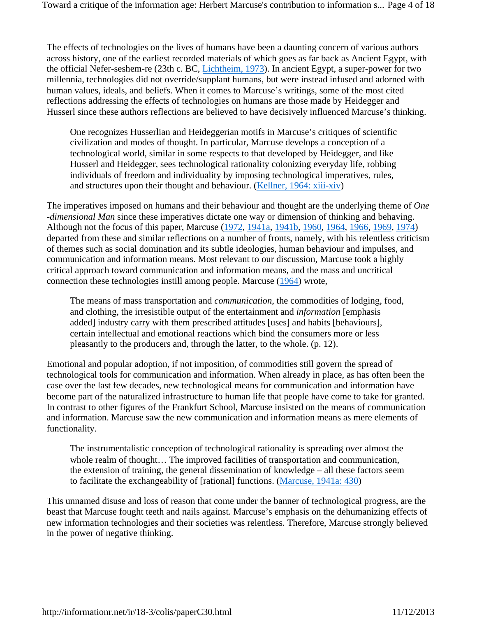The effects of technologies on the lives of humans have been a daunting concern of various authors across history, one of the earliest recorded materials of which goes as far back as Ancient Egypt, with the official Nefer-seshem-re (23th c. BC, Lichtheim, 1973). In ancient Egypt, a super-power for two millennia, technologies did not override/supplant humans, but were instead infused and adorned with human values, ideals, and beliefs. When it comes to Marcuse's writings, some of the most cited reflections addressing the effects of technologies on humans are those made by Heidegger and Husserl since these authors reflections are believed to have decisively influenced Marcuse's thinking.

One recognizes Husserlian and Heideggerian motifs in Marcuse's critiques of scientific civilization and modes of thought. In particular, Marcuse develops a conception of a technological world, similar in some respects to that developed by Heidegger, and like Husserl and Heidegger, sees technological rationality colonizing everyday life, robbing individuals of freedom and individuality by imposing technological imperatives, rules, and structures upon their thought and behaviour. (Kellner, 1964: xiii-xiv)

The imperatives imposed on humans and their behaviour and thought are the underlying theme of *One -dimensional Man* since these imperatives dictate one way or dimension of thinking and behaving. Although not the focus of this paper, Marcuse (1972, 1941a, 1941b, 1960, 1964, 1966, 1969, 1974) departed from these and similar reflections on a number of fronts, namely, with his relentless criticism of themes such as social domination and its subtle ideologies, human behaviour and impulses, and communication and information means. Most relevant to our discussion, Marcuse took a highly critical approach toward communication and information means, and the mass and uncritical connection these technologies instill among people. Marcuse (1964) wrote,

The means of mass transportation and *communication*, the commodities of lodging, food, and clothing, the irresistible output of the entertainment and *information* [emphasis added] industry carry with them prescribed attitudes [uses] and habits [behaviours], certain intellectual and emotional reactions which bind the consumers more or less pleasantly to the producers and, through the latter, to the whole. (p. 12).

Emotional and popular adoption, if not imposition, of commodities still govern the spread of technological tools for communication and information. When already in place, as has often been the case over the last few decades, new technological means for communication and information have become part of the naturalized infrastructure to human life that people have come to take for granted. In contrast to other figures of the Frankfurt School, Marcuse insisted on the means of communication and information. Marcuse saw the new communication and information means as mere elements of functionality.

The instrumentalistic conception of technological rationality is spreading over almost the whole realm of thought... The improved facilities of transportation and communication, the extension of training, the general dissemination of knowledge – all these factors seem to facilitate the exchangeability of [rational] functions. (Marcuse, 1941a: 430)

This unnamed disuse and loss of reason that come under the banner of technological progress, are the beast that Marcuse fought teeth and nails against. Marcuse's emphasis on the dehumanizing effects of new information technologies and their societies was relentless. Therefore, Marcuse strongly believed in the power of negative thinking.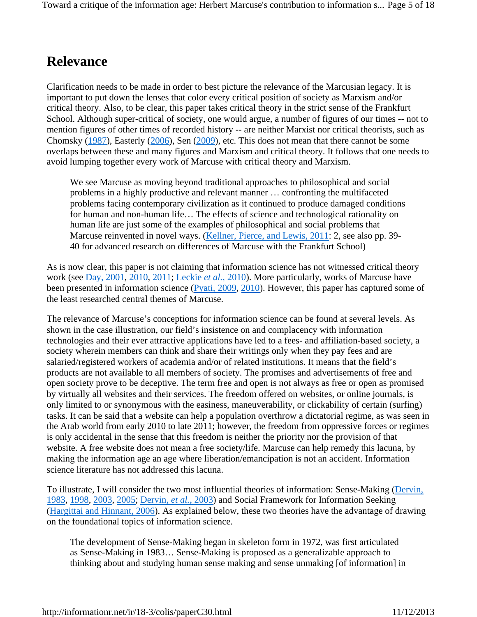#### **Relevance**

Clarification needs to be made in order to best picture the relevance of the Marcusian legacy. It is important to put down the lenses that color every critical position of society as Marxism and/or critical theory. Also, to be clear, this paper takes critical theory in the strict sense of the Frankfurt School. Although super-critical of society, one would argue, a number of figures of our times -- not to mention figures of other times of recorded history -- are neither Marxist nor critical theorists, such as Chomsky (1987), Easterly (2006), Sen (2009), etc. This does not mean that there cannot be some overlaps between these and many figures and Marxism and critical theory. It follows that one needs to avoid lumping together every work of Marcuse with critical theory and Marxism.

We see Marcuse as moving beyond traditional approaches to philosophical and social problems in a highly productive and relevant manner … confronting the multifaceted problems facing contemporary civilization as it continued to produce damaged conditions for human and non-human life… The effects of science and technological rationality on human life are just some of the examples of philosophical and social problems that Marcuse reinvented in novel ways. (Kellner, Pierce, and Lewis, 2011: 2, see also pp. 39-40 for advanced research on differences of Marcuse with the Frankfurt School)

As is now clear, this paper is not claiming that information science has not witnessed critical theory work (see Day, 2001, 2010, 2011; Leckie *et al.*, 2010). More particularly, works of Marcuse have been presented in information science (Pyati, 2009, 2010). However, this paper has captured some of the least researched central themes of Marcuse.

The relevance of Marcuse's conceptions for information science can be found at several levels. As shown in the case illustration, our field's insistence on and complacency with information technologies and their ever attractive applications have led to a fees- and affiliation-based society, a society wherein members can think and share their writings only when they pay fees and are salaried/registered workers of academia and/or of related institutions. It means that the field's products are not available to all members of society. The promises and advertisements of free and open society prove to be deceptive. The term free and open is not always as free or open as promised by virtually all websites and their services. The freedom offered on websites, or online journals, is only limited to or synonymous with the easiness, maneuverability, or clickability of certain (surfing) tasks. It can be said that a website can help a population overthrow a dictatorial regime, as was seen in the Arab world from early 2010 to late 2011; however, the freedom from oppressive forces or regimes is only accidental in the sense that this freedom is neither the priority nor the provision of that website. A free website does not mean a free society/life. Marcuse can help remedy this lacuna, by making the information age an age where liberation/emancipation is not an accident. Information science literature has not addressed this lacuna.

To illustrate, I will consider the two most influential theories of information: Sense-Making (Dervin, 1983, 1998, 2003, 2005; Dervin, *et al.*, 2003) and Social Framework for Information Seeking (Hargittai and Hinnant, 2006). As explained below, these two theories have the advantage of drawing on the foundational topics of information science.

The development of Sense-Making began in skeleton form in 1972, was first articulated as Sense-Making in 1983… Sense-Making is proposed as a generalizable approach to thinking about and studying human sense making and sense unmaking [of information] in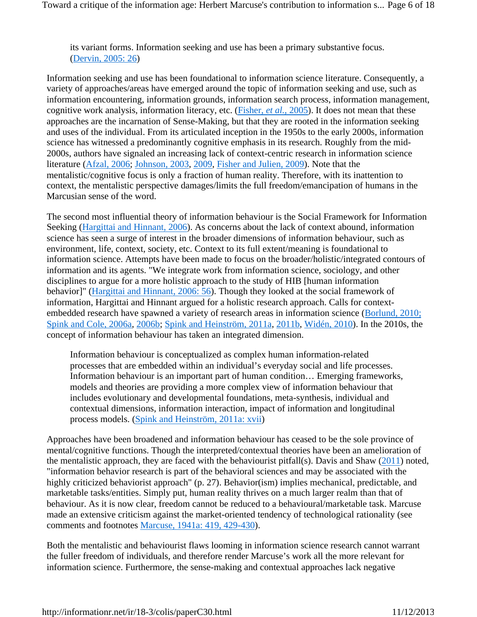its variant forms. Information seeking and use has been a primary substantive focus. (Dervin, 2005: 26)

Information seeking and use has been foundational to information science literature. Consequently, a variety of approaches/areas have emerged around the topic of information seeking and use, such as information encountering, information grounds, information search process, information management, cognitive work analysis, information literacy, etc. (Fisher, *et al.*, 2005). It does not mean that these approaches are the incarnation of Sense-Making, but that they are rooted in the information seeking and uses of the individual. From its articulated inception in the 1950s to the early 2000s, information science has witnessed a predominantly cognitive emphasis in its research. Roughly from the mid-2000s, authors have signaled an increasing lack of context-centric research in information science literature (Afzal, 2006; Johnson, 2003, 2009, Fisher and Julien, 2009). Note that the mentalistic/cognitive focus is only a fraction of human reality. Therefore, with its inattention to context, the mentalistic perspective damages/limits the full freedom/emancipation of humans in the Marcusian sense of the word.

The second most influential theory of information behaviour is the Social Framework for Information Seeking (Hargittai and Hinnant, 2006). As concerns about the lack of context abound, information science has seen a surge of interest in the broader dimensions of information behaviour, such as environment, life, context, society, etc. Context to its full extent/meaning is foundational to information science. Attempts have been made to focus on the broader/holistic/integrated contours of information and its agents. "We integrate work from information science, sociology, and other disciplines to argue for a more holistic approach to the study of HIB [human information behavior]" (Hargittai and Hinnant, 2006: 56). Though they looked at the social framework of information, Hargittai and Hinnant argued for a holistic research approach. Calls for contextembedded research have spawned a variety of research areas in information science (Borlund, 2010; Spink and Cole, 2006a, 2006b; Spink and Heinström, 2011a, 2011b, Widén, 2010). In the 2010s, the concept of information behaviour has taken an integrated dimension.

Information behaviour is conceptualized as complex human information-related processes that are embedded within an individual's everyday social and life processes. Information behaviour is an important part of human condition… Emerging frameworks, models and theories are providing a more complex view of information behaviour that includes evolutionary and developmental foundations, meta-synthesis, individual and contextual dimensions, information interaction, impact of information and longitudinal process models. (Spink and Heinström, 2011a: xvii)

Approaches have been broadened and information behaviour has ceased to be the sole province of mental/cognitive functions. Though the interpreted/contextual theories have been an amelioration of the mentalistic approach, they are faced with the behaviourist pitfall(s). Davis and Shaw  $(2011)$  noted, "information behavior research is part of the behavioral sciences and may be associated with the highly criticized behaviorist approach" (p. 27). Behavior(ism) implies mechanical, predictable, and marketable tasks/entities. Simply put, human reality thrives on a much larger realm than that of behaviour. As it is now clear, freedom cannot be reduced to a behavioural/marketable task. Marcuse made an extensive criticism against the market-oriented tendency of technological rationality (see comments and footnotes Marcuse, 1941a: 419, 429-430).

Both the mentalistic and behaviourist flaws looming in information science research cannot warrant the fuller freedom of individuals, and therefore render Marcuse's work all the more relevant for information science. Furthermore, the sense-making and contextual approaches lack negative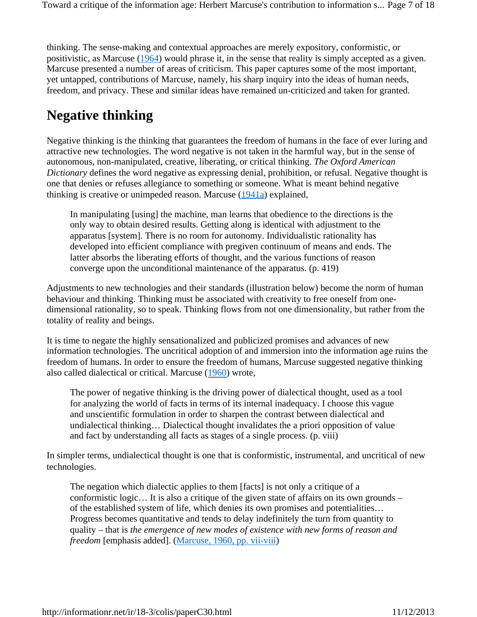thinking. The sense-making and contextual approaches are merely expository, conformistic, or positivistic, as Marcuse (1964) would phrase it, in the sense that reality is simply accepted as a given. Marcuse presented a number of areas of criticism. This paper captures some of the most important, yet untapped, contributions of Marcuse, namely, his sharp inquiry into the ideas of human needs, freedom, and privacy. These and similar ideas have remained un-criticized and taken for granted.

#### **Negative thinking**

Negative thinking is the thinking that guarantees the freedom of humans in the face of ever luring and attractive new technologies. The word negative is not taken in the harmful way, but in the sense of autonomous, non-manipulated, creative, liberating, or critical thinking. *The Oxford American Dictionary* defines the word negative as expressing denial, prohibition, or refusal. Negative thought is one that denies or refuses allegiance to something or someone. What is meant behind negative thinking is creative or unimpeded reason. Marcuse (1941a) explained,

In manipulating [using] the machine, man learns that obedience to the directions is the only way to obtain desired results. Getting along is identical with adjustment to the apparatus [system]. There is no room for autonomy. Individualistic rationality has developed into efficient compliance with pregiven continuum of means and ends. The latter absorbs the liberating efforts of thought, and the various functions of reason converge upon the unconditional maintenance of the apparatus. (p. 419)

Adjustments to new technologies and their standards (illustration below) become the norm of human behaviour and thinking. Thinking must be associated with creativity to free oneself from onedimensional rationality, so to speak. Thinking flows from not one dimensionality, but rather from the totality of reality and beings.

It is time to negate the highly sensationalized and publicized promises and advances of new information technologies. The uncritical adoption of and immersion into the information age ruins the freedom of humans. In order to ensure the freedom of humans, Marcuse suggested negative thinking also called dialectical or critical. Marcuse (1960) wrote,

The power of negative thinking is the driving power of dialectical thought, used as a tool for analyzing the world of facts in terms of its internal inadequacy. I choose this vague and unscientific formulation in order to sharpen the contrast between dialectical and undialectical thinking… Dialectical thought invalidates the a priori opposition of value and fact by understanding all facts as stages of a single process. (p. viii)

In simpler terms, undialectical thought is one that is conformistic, instrumental, and uncritical of new technologies.

The negation which dialectic applies to them [facts] is not only a critique of a conformistic logic… It is also a critique of the given state of affairs on its own grounds – of the established system of life, which denies its own promises and potentialities… Progress becomes quantitative and tends to delay indefinitely the turn from quantity to quality – that is *the emergence of new modes of existence with new forms of reason and freedom* [emphasis added]. (Marcuse, 1960, pp. vii-viii)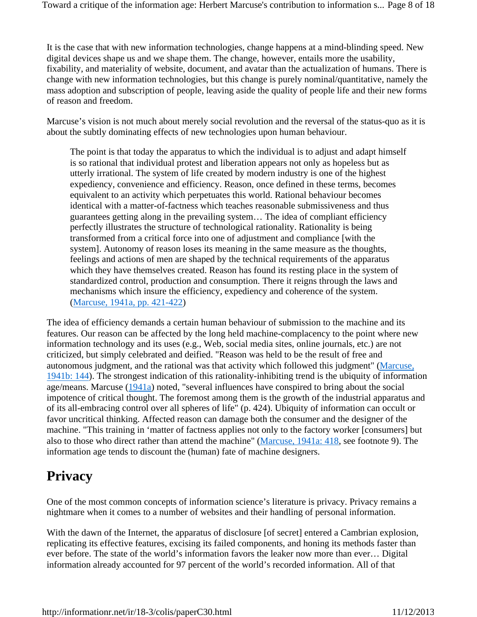It is the case that with new information technologies, change happens at a mind-blinding speed. New digital devices shape us and we shape them. The change, however, entails more the usability, fixability, and materiality of website, document, and avatar than the actualization of humans. There is change with new information technologies, but this change is purely nominal/quantitative, namely the mass adoption and subscription of people, leaving aside the quality of people life and their new forms of reason and freedom.

Marcuse's vision is not much about merely social revolution and the reversal of the status-quo as it is about the subtly dominating effects of new technologies upon human behaviour.

The point is that today the apparatus to which the individual is to adjust and adapt himself is so rational that individual protest and liberation appears not only as hopeless but as utterly irrational. The system of life created by modern industry is one of the highest expediency, convenience and efficiency. Reason, once defined in these terms, becomes equivalent to an activity which perpetuates this world. Rational behaviour becomes identical with a matter-of-factness which teaches reasonable submissiveness and thus guarantees getting along in the prevailing system… The idea of compliant efficiency perfectly illustrates the structure of technological rationality. Rationality is being transformed from a critical force into one of adjustment and compliance [with the system]. Autonomy of reason loses its meaning in the same measure as the thoughts, feelings and actions of men are shaped by the technical requirements of the apparatus which they have themselves created. Reason has found its resting place in the system of standardized control, production and consumption. There it reigns through the laws and mechanisms which insure the efficiency, expediency and coherence of the system. (Marcuse, 1941a, pp. 421-422)

The idea of efficiency demands a certain human behaviour of submission to the machine and its features. Our reason can be affected by the long held machine-complacency to the point where new information technology and its uses (e.g., Web, social media sites, online journals, etc.) are not criticized, but simply celebrated and deified. "Reason was held to be the result of free and autonomous judgment, and the rational was that activity which followed this judgment" (Marcuse, 1941b: 144). The strongest indication of this rationality-inhibiting trend is the ubiquity of information age/means. Marcuse  $(1941a)$  noted, "several influences have conspired to bring about the social impotence of critical thought. The foremost among them is the growth of the industrial apparatus and of its all-embracing control over all spheres of life" (p. 424). Ubiquity of information can occult or favor uncritical thinking. Affected reason can damage both the consumer and the designer of the machine. "This training in 'matter of factness applies not only to the factory worker [consumers] but also to those who direct rather than attend the machine" (Marcuse, 1941a: 418, see footnote 9). The information age tends to discount the (human) fate of machine designers.

# **Privacy**

One of the most common concepts of information science's literature is privacy. Privacy remains a nightmare when it comes to a number of websites and their handling of personal information.

With the dawn of the Internet, the apparatus of disclosure [of secret] entered a Cambrian explosion, replicating its effective features, excising its failed components, and honing its methods faster than ever before. The state of the world's information favors the leaker now more than ever… Digital information already accounted for 97 percent of the world's recorded information. All of that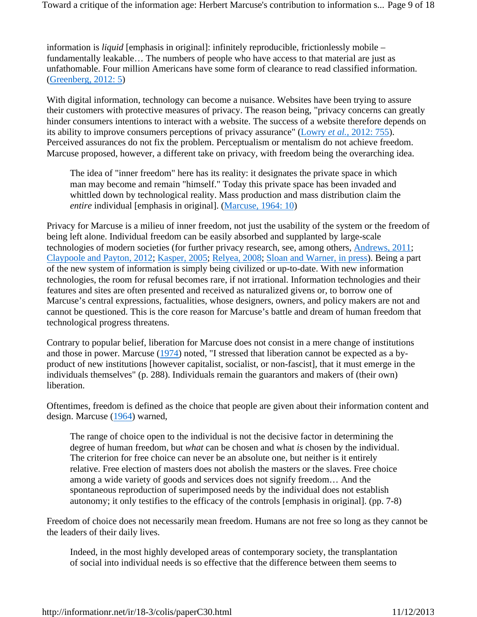information is *liquid* [emphasis in original]: infinitely reproducible, frictionlessly mobile – fundamentally leakable… The numbers of people who have access to that material are just as unfathomable. Four million Americans have some form of clearance to read classified information. (Greenberg, 2012: 5)

With digital information, technology can become a nuisance. Websites have been trying to assure their customers with protective measures of privacy. The reason being, "privacy concerns can greatly hinder consumers intentions to interact with a website. The success of a website therefore depends on its ability to improve consumers perceptions of privacy assurance" (Lowry *et al.*, 2012: 755). Perceived assurances do not fix the problem. Perceptualism or mentalism do not achieve freedom. Marcuse proposed, however, a different take on privacy, with freedom being the overarching idea.

The idea of "inner freedom" here has its reality: it designates the private space in which man may become and remain "himself." Today this private space has been invaded and whittled down by technological reality. Mass production and mass distribution claim the *entire* individual [emphasis in original]. (Marcuse, 1964: 10)

Privacy for Marcuse is a milieu of inner freedom, not just the usability of the system or the freedom of being left alone. Individual freedom can be easily absorbed and supplanted by large-scale technologies of modern societies (for further privacy research, see, among others, Andrews, 2011; Claypoole and Payton, 2012; Kasper, 2005; Relyea, 2008; Sloan and Warner, in press). Being a part of the new system of information is simply being civilized or up-to-date. With new information technologies, the room for refusal becomes rare, if not irrational. Information technologies and their features and sites are often presented and received as naturalized givens or, to borrow one of Marcuse's central expressions, factualities, whose designers, owners, and policy makers are not and cannot be questioned. This is the core reason for Marcuse's battle and dream of human freedom that technological progress threatens.

Contrary to popular belief, liberation for Marcuse does not consist in a mere change of institutions and those in power. Marcuse (1974) noted, "I stressed that liberation cannot be expected as a byproduct of new institutions [however capitalist, socialist, or non-fascist], that it must emerge in the individuals themselves" (p. 288). Individuals remain the guarantors and makers of (their own) liberation.

Oftentimes, freedom is defined as the choice that people are given about their information content and design. Marcuse (1964) warned,

The range of choice open to the individual is not the decisive factor in determining the degree of human freedom, but *what* can be chosen and what *is* chosen by the individual. The criterion for free choice can never be an absolute one, but neither is it entirely relative. Free election of masters does not abolish the masters or the slaves. Free choice among a wide variety of goods and services does not signify freedom… And the spontaneous reproduction of superimposed needs by the individual does not establish autonomy; it only testifies to the efficacy of the controls [emphasis in original]. (pp. 7-8)

Freedom of choice does not necessarily mean freedom. Humans are not free so long as they cannot be the leaders of their daily lives.

Indeed, in the most highly developed areas of contemporary society, the transplantation of social into individual needs is so effective that the difference between them seems to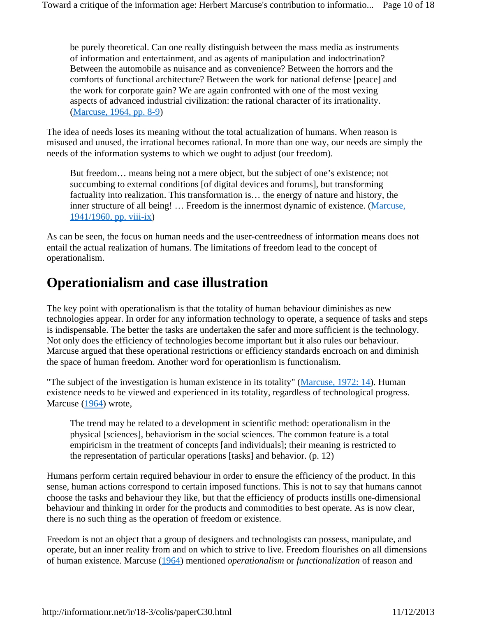be purely theoretical. Can one really distinguish between the mass media as instruments of information and entertainment, and as agents of manipulation and indoctrination? Between the automobile as nuisance and as convenience? Between the horrors and the comforts of functional architecture? Between the work for national defense [peace] and the work for corporate gain? We are again confronted with one of the most vexing aspects of advanced industrial civilization: the rational character of its irrationality. (Marcuse, 1964, pp. 8-9)

The idea of needs loses its meaning without the total actualization of humans. When reason is misused and unused, the irrational becomes rational. In more than one way, our needs are simply the needs of the information systems to which we ought to adjust (our freedom).

But freedom… means being not a mere object, but the subject of one's existence; not succumbing to external conditions [of digital devices and forums], but transforming factuality into realization. This transformation is… the energy of nature and history, the inner structure of all being! ... Freedom is the innermost dynamic of existence. (Marcuse, 1941/1960, pp. viii-ix)

As can be seen, the focus on human needs and the user-centreedness of information means does not entail the actual realization of humans. The limitations of freedom lead to the concept of operationalism.

#### **Operationialism and case illustration**

The key point with operationalism is that the totality of human behaviour diminishes as new technologies appear. In order for any information technology to operate, a sequence of tasks and steps is indispensable. The better the tasks are undertaken the safer and more sufficient is the technology. Not only does the efficiency of technologies become important but it also rules our behaviour. Marcuse argued that these operational restrictions or efficiency standards encroach on and diminish the space of human freedom. Another word for operationlism is functionalism.

"The subject of the investigation is human existence in its totality" (Marcuse, 1972: 14). Human existence needs to be viewed and experienced in its totality, regardless of technological progress. Marcuse (1964) wrote,

The trend may be related to a development in scientific method: operationalism in the physical [sciences], behaviorism in the social sciences. The common feature is a total empiricism in the treatment of concepts [and individuals]; their meaning is restricted to the representation of particular operations [tasks] and behavior. (p. 12)

Humans perform certain required behaviour in order to ensure the efficiency of the product. In this sense, human actions correspond to certain imposed functions. This is not to say that humans cannot choose the tasks and behaviour they like, but that the efficiency of products instills one-dimensional behaviour and thinking in order for the products and commodities to best operate. As is now clear, there is no such thing as the operation of freedom or existence.

Freedom is not an object that a group of designers and technologists can possess, manipulate, and operate, but an inner reality from and on which to strive to live. Freedom flourishes on all dimensions of human existence. Marcuse (1964) mentioned *operationalism* or *functionalization* of reason and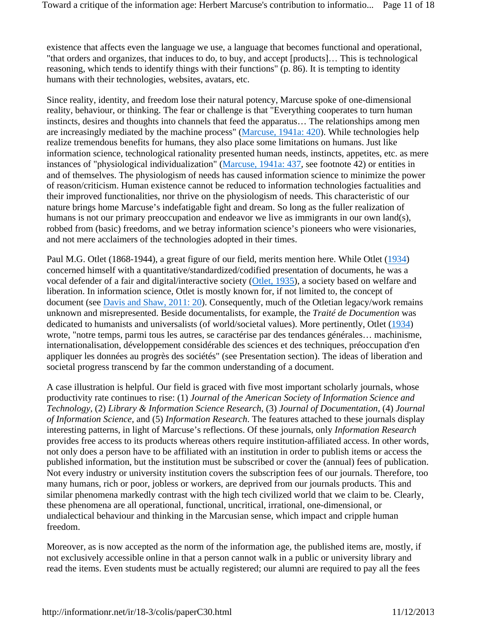existence that affects even the language we use, a language that becomes functional and operational, "that orders and organizes, that induces to do, to buy, and accept [products]… This is technological reasoning, which tends to identify things with their functions" (p. 86). It is tempting to identity humans with their technologies, websites, avatars, etc.

Since reality, identity, and freedom lose their natural potency, Marcuse spoke of one-dimensional reality, behaviour, or thinking. The fear or challenge is that "Everything cooperates to turn human instincts, desires and thoughts into channels that feed the apparatus… The relationships among men are increasingly mediated by the machine process" (Marcuse, 1941a: 420). While technologies help realize tremendous benefits for humans, they also place some limitations on humans. Just like information science, technological rationality presented human needs, instincts, appetites, etc. as mere instances of "physiological individualization" (Marcuse, 1941a: 437, see footnote 42) or entities in and of themselves. The physiologism of needs has caused information science to minimize the power of reason/criticism. Human existence cannot be reduced to information technologies factualities and their improved functionalities, nor thrive on the physiologism of needs. This characteristic of our nature brings home Marcuse's indefatigable fight and dream. So long as the fuller realization of humans is not our primary preoccupation and endeavor we live as immigrants in our own land(s), robbed from (basic) freedoms, and we betray information science's pioneers who were visionaries, and not mere acclaimers of the technologies adopted in their times.

Paul M.G. Otlet (1868-1944), a great figure of our field, merits mention here. While Otlet (1934) concerned himself with a quantitative/standardized/codified presentation of documents, he was a vocal defender of a fair and digital/interactive society (Otlet, 1935), a society based on welfare and liberation. In information science, Otlet is mostly known for, if not limited to, the concept of document (see Davis and Shaw, 2011: 20). Consequently, much of the Otletian legacy/work remains unknown and misrepresented. Beside documentalists, for example, the *Traité de Documention* was dedicated to humanists and universalists (of world/societal values). More pertinently, Otlet (1934) wrote, "notre temps, parmi tous les autres, se caractérise par des tendances générales… machinisme, internationalisation, développement considérable des sciences et des techniques, préoccupation d'en appliquer les données au progrès des sociétés" (see Presentation section). The ideas of liberation and societal progress transcend by far the common understanding of a document.

A case illustration is helpful. Our field is graced with five most important scholarly journals, whose productivity rate continues to rise: (1) *Journal of the American Society of Information Science and Technology*, (2) *Library & Information Science Research*, (3) *Journal of Documentation*, (4) *Journal of Information Science*, and (5) *Information Research*. The features attached to these journals display interesting patterns, in light of Marcuse's reflections. Of these journals, only *Information Research* provides free access to its products whereas others require institution-affiliated access. In other words, not only does a person have to be affiliated with an institution in order to publish items or access the published information, but the institution must be subscribed or cover the (annual) fees of publication. Not every industry or university institution covers the subscription fees of our journals. Therefore, too many humans, rich or poor, jobless or workers, are deprived from our journals products. This and similar phenomena markedly contrast with the high tech civilized world that we claim to be. Clearly, these phenomena are all operational, functional, uncritical, irrational, one-dimensional, or undialectical behaviour and thinking in the Marcusian sense, which impact and cripple human freedom.

Moreover, as is now accepted as the norm of the information age, the published items are, mostly, if not exclusively accessible online in that a person cannot walk in a public or university library and read the items. Even students must be actually registered; our alumni are required to pay all the fees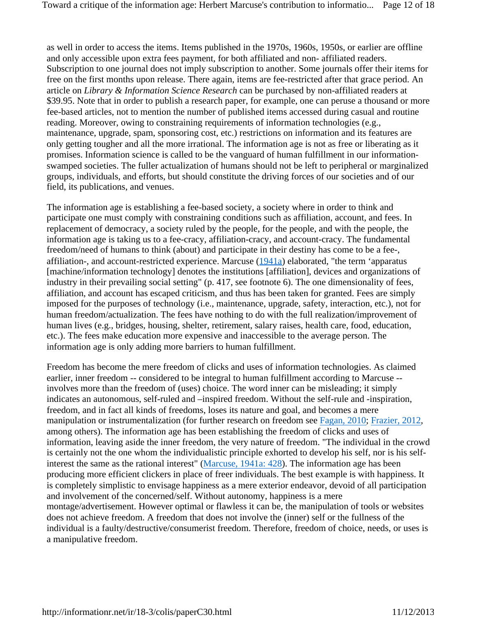as well in order to access the items. Items published in the 1970s, 1960s, 1950s, or earlier are offline and only accessible upon extra fees payment, for both affiliated and non- affiliated readers. Subscription to one journal does not imply subscription to another. Some journals offer their items for free on the first months upon release. There again, items are fee-restricted after that grace period. An article on *Library & Information Science Research* can be purchased by non-affiliated readers at \$39.95. Note that in order to publish a research paper, for example, one can peruse a thousand or more fee-based articles, not to mention the number of published items accessed during casual and routine reading. Moreover, owing to constraining requirements of information technologies (e.g., maintenance, upgrade, spam, sponsoring cost, etc.) restrictions on information and its features are only getting tougher and all the more irrational. The information age is not as free or liberating as it promises. Information science is called to be the vanguard of human fulfillment in our informationswamped societies. The fuller actualization of humans should not be left to peripheral or marginalized groups, individuals, and efforts, but should constitute the driving forces of our societies and of our field, its publications, and venues.

The information age is establishing a fee-based society, a society where in order to think and participate one must comply with constraining conditions such as affiliation, account, and fees. In replacement of democracy, a society ruled by the people, for the people, and with the people, the information age is taking us to a fee-cracy, affiliation-cracy, and account-cracy. The fundamental freedom/need of humans to think (about) and participate in their destiny has come to be a fee-, affiliation-, and account-restricted experience. Marcuse (1941a) elaborated, "the term 'apparatus [machine/information technology] denotes the institutions [affiliation], devices and organizations of industry in their prevailing social setting" (p. 417, see footnote 6). The one dimensionality of fees, affiliation, and account has escaped criticism, and thus has been taken for granted. Fees are simply imposed for the purposes of technology (i.e., maintenance, upgrade, safety, interaction, etc.), not for human freedom/actualization. The fees have nothing to do with the full realization/improvement of human lives (e.g., bridges, housing, shelter, retirement, salary raises, health care, food, education, etc.). The fees make education more expensive and inaccessible to the average person. The information age is only adding more barriers to human fulfillment.

Freedom has become the mere freedom of clicks and uses of information technologies. As claimed earlier, inner freedom -- considered to be integral to human fulfillment according to Marcuse - involves more than the freedom of (uses) choice. The word inner can be misleading; it simply indicates an autonomous, self-ruled and –inspired freedom. Without the self-rule and -inspiration, freedom, and in fact all kinds of freedoms, loses its nature and goal, and becomes a mere manipulation or instrumentalization (for further research on freedom see Fagan, 2010; Frazier, 2012, among others). The information age has been establishing the freedom of clicks and uses of information, leaving aside the inner freedom, the very nature of freedom. "The individual in the crowd is certainly not the one whom the individualistic principle exhorted to develop his self, nor is his selfinterest the same as the rational interest" (Marcuse, 1941a: 428). The information age has been producing more efficient clickers in place of freer individuals. The best example is with happiness. It is completely simplistic to envisage happiness as a mere exterior endeavor, devoid of all participation and involvement of the concerned/self. Without autonomy, happiness is a mere montage/advertisement. However optimal or flawless it can be, the manipulation of tools or websites does not achieve freedom. A freedom that does not involve the (inner) self or the fullness of the individual is a faulty/destructive/consumerist freedom. Therefore, freedom of choice, needs, or uses is a manipulative freedom.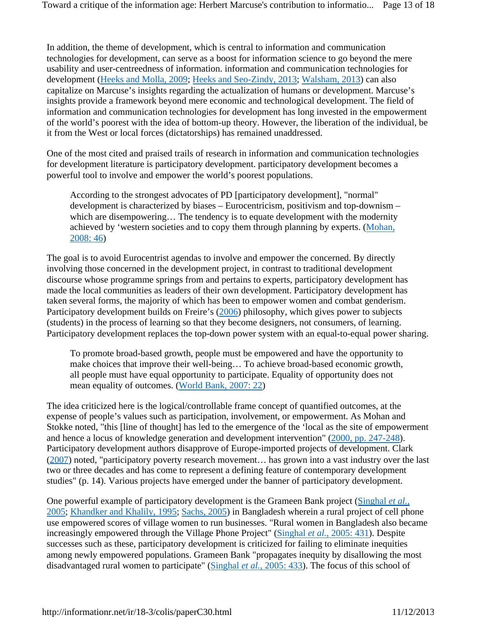In addition, the theme of development, which is central to information and communication technologies for development, can serve as a boost for information science to go beyond the mere usability and user-centreedness of information. information and communication technologies for development (Heeks and Molla, 2009; Heeks and Seo-Zindy, 2013; Walsham, 2013) can also capitalize on Marcuse's insights regarding the actualization of humans or development. Marcuse's insights provide a framework beyond mere economic and technological development. The field of information and communication technologies for development has long invested in the empowerment of the world's poorest with the idea of bottom-up theory. However, the liberation of the individual, be it from the West or local forces (dictatorships) has remained unaddressed.

One of the most cited and praised trails of research in information and communication technologies for development literature is participatory development. participatory development becomes a powerful tool to involve and empower the world's poorest populations.

According to the strongest advocates of PD [participatory development], "normal" development is characterized by biases – Eurocentricism, positivism and top-downism – which are disempowering... The tendency is to equate development with the modernity achieved by 'western societies and to copy them through planning by experts. (Mohan, 2008: 46)

The goal is to avoid Eurocentrist agendas to involve and empower the concerned. By directly involving those concerned in the development project, in contrast to traditional development discourse whose programme springs from and pertains to experts, participatory development has made the local communities as leaders of their own development. Participatory development has taken several forms, the majority of which has been to empower women and combat genderism. Participatory development builds on Freire's (2006) philosophy, which gives power to subjects (students) in the process of learning so that they become designers, not consumers, of learning. Participatory development replaces the top-down power system with an equal-to-equal power sharing.

To promote broad-based growth, people must be empowered and have the opportunity to make choices that improve their well-being… To achieve broad-based economic growth, all people must have equal opportunity to participate. Equality of opportunity does not mean equality of outcomes. (World Bank, 2007: 22)

The idea criticized here is the logical/controllable frame concept of quantified outcomes, at the expense of people's values such as participation, involvement, or empowerment. As Mohan and Stokke noted, "this [line of thought] has led to the emergence of the 'local as the site of empowerment and hence a locus of knowledge generation and development intervention" (2000, pp. 247-248). Participatory development authors disapprove of Europe-imported projects of development. Clark (2007) noted, "participatory poverty research movement… has grown into a vast industry over the last two or three decades and has come to represent a defining feature of contemporary development studies" (p. 14). Various projects have emerged under the banner of participatory development.

One powerful example of participatory development is the Grameen Bank project (Singhal *et al.*, 2005; Khandker and Khalily, 1995; Sachs, 2005) in Bangladesh wherein a rural project of cell phone use empowered scores of village women to run businesses. "Rural women in Bangladesh also became increasingly empowered through the Village Phone Project" (Singhal *et al.*, 2005: 431). Despite successes such as these, participatory development is criticized for failing to eliminate inequities among newly empowered populations. Grameen Bank "propagates inequity by disallowing the most disadvantaged rural women to participate" (Singhal *et al.*, 2005: 433). The focus of this school of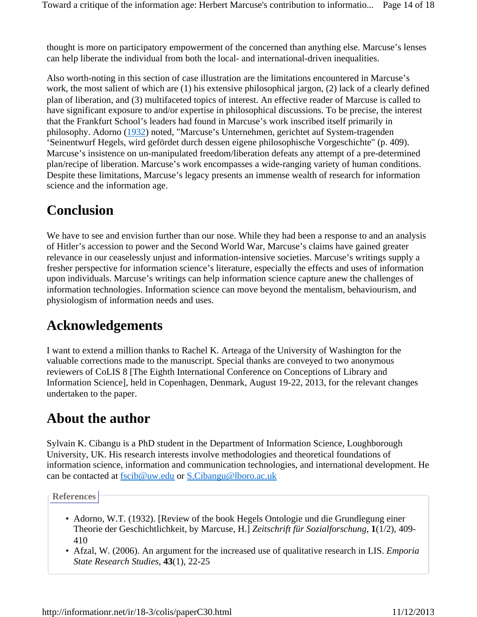thought is more on participatory empowerment of the concerned than anything else. Marcuse's lenses can help liberate the individual from both the local- and international-driven inequalities.

Also worth-noting in this section of case illustration are the limitations encountered in Marcuse's work, the most salient of which are (1) his extensive philosophical jargon, (2) lack of a clearly defined plan of liberation, and (3) multifaceted topics of interest. An effective reader of Marcuse is called to have significant exposure to and/or expertise in philosophical discussions. To be precise, the interest that the Frankfurt School's leaders had found in Marcuse's work inscribed itself primarily in philosophy. Adorno (1932) noted, "Marcuse's Unternehmen, gerichtet auf System-tragenden 'Seinentwurf Hegels, wird gefördet durch dessen eigene philosophische Vorgeschichte" (p. 409). Marcuse's insistence on un-manipulated freedom/liberation defeats any attempt of a pre-determined plan/recipe of liberation. Marcuse's work encompasses a wide-ranging variety of human conditions. Despite these limitations, Marcuse's legacy presents an immense wealth of research for information science and the information age.

### **Conclusion**

We have to see and envision further than our nose. While they had been a response to and an analysis of Hitler's accession to power and the Second World War, Marcuse's claims have gained greater relevance in our ceaselessly unjust and information-intensive societies. Marcuse's writings supply a fresher perspective for information science's literature, especially the effects and uses of information upon individuals. Marcuse's writings can help information science capture anew the challenges of information technologies. Information science can move beyond the mentalism, behaviourism, and physiologism of information needs and uses.

#### **Acknowledgements**

I want to extend a million thanks to Rachel K. Arteaga of the University of Washington for the valuable corrections made to the manuscript. Special thanks are conveyed to two anonymous reviewers of CoLIS 8 [The Eighth International Conference on Conceptions of Library and Information Science], held in Copenhagen, Denmark, August 19-22, 2013, for the relevant changes undertaken to the paper.

#### **About the author**

Sylvain K. Cibangu is a PhD student in the Department of Information Science, Loughborough University, UK. His research interests involve methodologies and theoretical foundations of information science, information and communication technologies, and international development. He can be contacted at fscib@uw.edu or S.Cibangu@lboro.ac.uk

**References**

- Adorno, W.T. (1932). [Review of the book Hegels Ontologie und die Grundlegung einer Theorie der Geschichtlichkeit, by Marcuse, H.] *Zeitschrift für Sozialforschung*, **1**(1/2), 409- 410
- Afzal, W. (2006). An argument for the increased use of qualitative research in LIS. *Emporia State Research Studies*, **43**(1), 22-25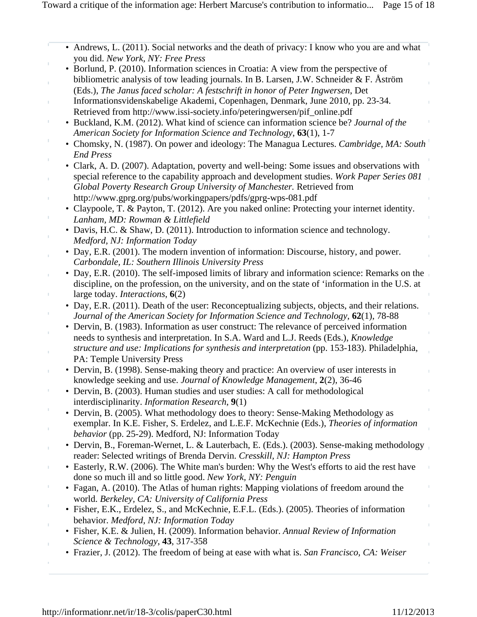- Andrews, L. (2011). Social networks and the death of privacy: I know who you are and what you did. *New York, NY: Free Press*
- Borlund, P. (2010). Information sciences in Croatia: A view from the perspective of bibliometric analysis of tow leading journals. In B. Larsen, J.W. Schneider & F. Åström (Eds.), *The Janus faced scholar: A festschrift in honor of Peter Ingwersen*, Det
- Informationsvidenskabelige Akademi, Copenhagen, Denmark, June 2010, pp. 23-34. Retrieved from http://www.issi-society.info/peteringwersen/pif\_online.pdf
- Buckland, K.M. (2012). What kind of science can information science be? *Journal of the American Society for Information Science and Technology*, **63**(1), 1-7
- Chomsky, N. (1987). On power and ideology: The Managua Lectures. *Cambridge, MA: South End Press*
- Clark, A. D. (2007). Adaptation, poverty and well-being: Some issues and observations with special reference to the capability approach and development studies. *Work Paper Series 081 Global Poverty Research Group University of Manchester.* Retrieved from
- http://www.gprg.org/pubs/workingpapers/pdfs/gprg-wps-081.pdf
	- Claypoole, T. & Payton, T. (2012). Are you naked online: Protecting your internet identity. *Lanham, MD: Rowman & Littlefield*
	- Davis, H.C. & Shaw, D. (2011). Introduction to information science and technology. *Medford, NJ: Information Today*
	- Day, E.R. (2001). The modern invention of information: Discourse, history, and power. *Carbondale, IL: Southern Illinois University Press*
	- Day, E.R. (2010). The self-imposed limits of library and information science: Remarks on the discipline, on the profession, on the university, and on the state of 'information in the U.S. at large today. *Interactions*, **6**(2)
	- Day, E.R. (2011). Death of the user: Reconceptualizing subjects, objects, and their relations. *Journal of the American Society for Information Science and Technology*, **62**(1), 78-88
	- Dervin, B. (1983). Information as user construct: The relevance of perceived information needs to synthesis and interpretation. In S.A. Ward and L.J. Reeds (Eds.), *Knowledge structure and use: Implications for synthesis and interpretation* (pp. 153-183). Philadelphia, PA: Temple University Press
	- Dervin, B. (1998). Sense-making theory and practice: An overview of user interests in knowledge seeking and use. *Journal of Knowledge Management*, **2**(2), 36-46
	- Dervin, B. (2003). Human studies and user studies: A call for methodological interdisciplinarity. *Information Research*, **9**(1)
	- Dervin, B. (2005). What methodology does to theory: Sense-Making Methodology as exemplar. In K.E. Fisher, S. Erdelez, and L.E.F. McKechnie (Eds.), *Theories of information behavior* (pp. 25-29). Medford, NJ: Information Today
	- Dervin, B., Foreman-Wernet, L. & Lauterbach, E. (Eds.). (2003). Sense-making methodology reader: Selected writings of Brenda Dervin. *Cresskill, NJ: Hampton Press*
	- Easterly, R.W. (2006). The White man's burden: Why the West's efforts to aid the rest have done so much ill and so little good. *New York, NY: Penguin*
	- Fagan, A. (2010). The Atlas of human rights: Mapping violations of freedom around the world. *Berkeley, CA: University of California Press*
	- Fisher, E.K., Erdelez, S., and McKechnie, E.F.L. (Eds.). (2005). Theories of information behavior. *Medford, NJ: Information Today*
	- Fisher, K.E. & Julien, H. (2009). Information behavior. *Annual Review of Information Science & Technology*, **43**, 317-358
	- Frazier, J. (2012). The freedom of being at ease with what is. *San Francisco, CA: Weiser*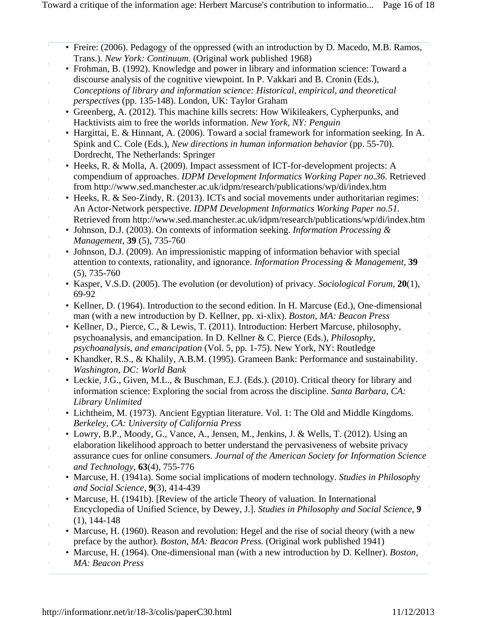• Freire: (2006). Pedagogy of the oppressed (with an introduction by D. Macedo, M.B. Ramos, Trans.). *New York: Continuum.* (Original work published 1968)

- Frohman, B. (1992). Knowledge and power in library and information science: Toward a discourse analysis of the cognitive viewpoint. In P. Vakkari and B. Cronin (Eds.), *Conceptions of library and information science: Historical, empirical, and theoretical* 
	- *perspectives* (pp. 135-148). London, UK: Taylor Graham • Greenberg, A. (2012). This machine kills secrets: How Wikileakers, Cypherpunks, and Hacktivists aim to free the worlds information. *New York, NY: Penguin*
	- Hargittai, E. & Hinnant, A. (2006). Toward a social framework for information seeking. In A. Spink and C. Cole (Eds.), *New directions in human information behavior* (pp. 55-70). Dordrecht, The Netherlands: Springer
- Heeks, R. & Molla, A. (2009). Impact assessment of ICT-for-development projects: A compendium of approaches. *IDPM Development Informatics Working Paper no.36*. Retrieved from http://www.sed.manchester.ac.uk/idpm/research/publications/wp/di/index.htm
- Heeks, R. & Seo-Zindy, R. (2013). ICTs and social movements under authoritarian regimes: An Actor-Network perspective. *IDPM Development Informatics Working Paper no.51.* Retrieved from http://www.sed.manchester.ac.uk/idpm/research/publications/wp/di/index.htm
- Johnson, D.J. (2003). On contexts of information seeking. *Information Processing & Management*, **39** (5), 735-760
- Johnson, D.J. (2009). An impressionistic mapping of information behavior with special attention to contexts, rationality, and ignorance. *Information Processing & Management*, **39** (5), 735-760
- Kasper, V.S.D. (2005). The evolution (or devolution) of privacy. *Sociological Forum*, **20**(1), 69-92
- Kellner, D. (1964). Introduction to the second edition. In H. Marcuse (Ed.), One-dimensional man (with a new introduction by D. Kellner, pp. xi-xlix). *Boston, MA: Beacon Press*
- Kellner, D., Pierce, C., & Lewis, T. (2011). Introduction: Herbert Marcuse, philosophy, psychoanalysis, and emancipation. In D. Kellner & C. Pierce (Eds.), *Philosophy, psychoanalysis, and emancipation* (Vol. 5, pp. 1-75). New York, NY: Routledge
- Khandker, R.S., & Khalily, A.B.M. (1995). Grameen Bank: Performance and sustainability. *Washington, DC: World Bank*
- Leckie, J.G., Given, M.L., & Buschman, E.J. (Eds.). (2010). Critical theory for library and information science: Exploring the social from across the discipline. *Santa Barbara, CA: Library Unlimited*
- Lichtheim, M. (1973). Ancient Egyptian literature. Vol. 1: The Old and Middle Kingdoms. *Berkeley, CA: University of California Press*
- Lowry, B.P., Moody, G., Vance, A., Jensen, M., Jenkins, J. & Wells, T. (2012). Using an elaboration likelihood approach to better understand the pervasiveness of website privacy assurance cues for online consumers. *Journal of the American Society for Information Science and Technology*, **63**(4), 755-776
- Marcuse, H. (1941a). Some social implications of modern technology. *Studies in Philosophy and Social Science*, **9**(3), 414-439
- Marcuse, H. (1941b). [Review of the article Theory of valuation. In International Encyclopedia of Unified Science, by Dewey, J.]. *Studies in Philosophy and Social Science*, **9** (1), 144-148
- Marcuse, H. (1960). Reason and revolution: Hegel and the rise of social theory (with a new preface by the author). *Boston, MA: Beacon Press.* (Original work published 1941)
- Marcuse, H. (1964). One-dimensional man (with a new introduction by D. Kellner). *Boston, MA: Beacon Press*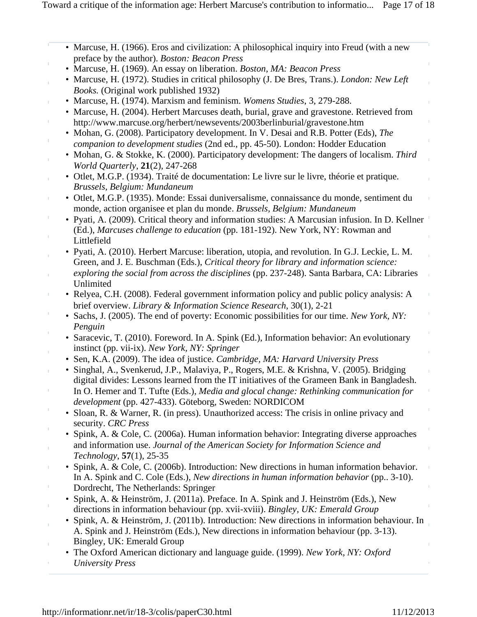| • Marcuse, H. (1966). Eros and civilization: A philosophical inquiry into Freud (with a new                                                                                                       |
|---------------------------------------------------------------------------------------------------------------------------------------------------------------------------------------------------|
| preface by the author). Boston: Beacon Press                                                                                                                                                      |
| • Marcuse, H. (1969). An essay on liberation. Boston, MA: Beacon Press                                                                                                                            |
| • Marcuse, H. (1972). Studies in critical philosophy (J. De Bres, Trans.). London: New Left<br><i>Books.</i> (Original work published 1932)                                                       |
| • Marcuse, H. (1974). Marxism and feminism. Womens Studies, 3, 279-288.                                                                                                                           |
| • Marcuse, H. (2004). Herbert Marcuses death, burial, grave and gravestone. Retrieved from<br>http://www.marcuse.org/herbert/newsevents/2003berlinburial/gravestone.htm                           |
| • Mohan, G. (2008). Participatory development. In V. Desai and R.B. Potter (Eds), The                                                                                                             |
| companion to development studies (2nd ed., pp. 45-50). London: Hodder Education                                                                                                                   |
| • Mohan, G. & Stokke, K. (2000). Participatory development: The dangers of localism. Third<br>World Quarterly, 21(2), 247-268                                                                     |
| • Otlet, M.G.P. (1934). Traité de documentation: Le livre sur le livre, théorie et pratique.<br>Brussels, Belgium: Mundaneum                                                                      |
| · Otlet, M.G.P. (1935). Monde: Essai duniversalisme, connaissance du monde, sentiment du                                                                                                          |
| monde, action organisee et plan du monde. Brussels, Belgium: Mundaneum                                                                                                                            |
| • Pyati, A. (2009). Critical theory and information studies: A Marcusian infusion. In D. Kellner<br>(Ed.), Marcuses challenge to education (pp. 181-192). New York, NY: Rowman and<br>Littlefield |
| • Pyati, A. (2010). Herbert Marcuse: liberation, utopia, and revolution. In G.J. Leckie, L. M.                                                                                                    |
| Green, and J. E. Buschman (Eds.), Critical theory for library and information science:                                                                                                            |
| exploring the social from across the disciplines (pp. 237-248). Santa Barbara, CA: Libraries<br>Unlimited                                                                                         |
| • Relyea, C.H. (2008). Federal government information policy and public policy analysis: A<br>brief overview. Library & Information Science Research, 30(1), 2-21                                 |
| Sachs, J. (2005). The end of poverty: Economic possibilities for our time. New York, NY:                                                                                                          |
| Penguin                                                                                                                                                                                           |
| · Saracevic, T. (2010). Foreword. In A. Spink (Ed.), Information behavior: An evolutionary                                                                                                        |
| instinct (pp. vii-ix). New York, NY: Springer                                                                                                                                                     |
| • Sen, K.A. (2009). The idea of justice. Cambridge, MA: Harvard University Press                                                                                                                  |
| Singhal, A., Svenkerud, J.P., Malaviya, P., Rogers, M.E. & Krishna, V. (2005). Bridging<br>٠<br>digital divides: Lessons learned from the IT initiatives of the Grameen Bank in Bangladesh.       |
| In O. Hemer and T. Tufte (Eds.), Media and glocal change: Rethinking communication for<br>development (pp. 427-433). Göteborg, Sweden: NORDICOM                                                   |
| Sloan, R. & Warner, R. (in press). Unauthorized access: The crisis in online privacy and<br>security. CRC Press                                                                                   |
| • Spink, A. & Cole, C. (2006a). Human information behavior: Integrating diverse approaches                                                                                                        |
| and information use. Journal of the American Society for Information Science and<br>Technology, 57(1), 25-35                                                                                      |
| • Spink, A. & Cole, C. (2006b). Introduction: New directions in human information behavior.                                                                                                       |
| In A. Spink and C. Cole (Eds.), New directions in human information behavior (pp. 3-10).<br>Dordrecht, The Netherlands: Springer                                                                  |
| · Spink, A. & Heinström, J. (2011a). Preface. In A. Spink and J. Heinström (Eds.), New                                                                                                            |
| directions in information behaviour (pp. xvii-xviii). Bingley, UK: Emerald Group                                                                                                                  |
| Spink, A. & Heinström, J. (2011b). Introduction: New directions in information behaviour. In<br>A. Spink and J. Heinström (Eds.), New directions in information behaviour (pp. 3-13).             |
| Bingley, UK: Emerald Group                                                                                                                                                                        |
| • The Oxford American dictionary and language guide. (1999). New York, NY: Oxford<br><b>University Press</b>                                                                                      |